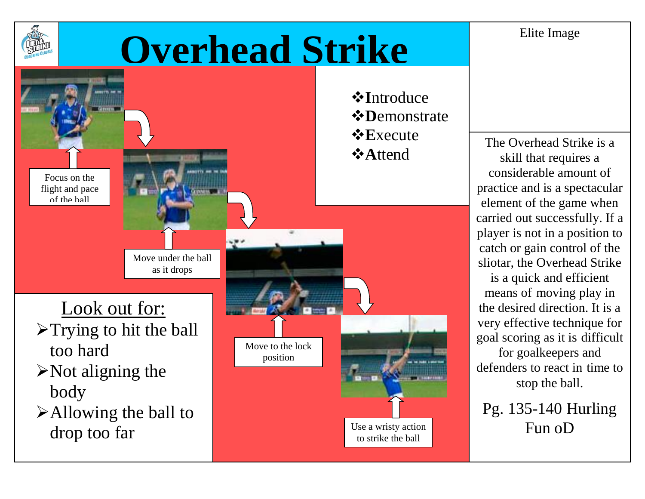Elite Image

## **Overhead Strike**



*<b>*∗Introduce *<b>☆Demonstrate*  $\triangle$ **E**xecute

The Overhead Strike is a skill that requires a considerable amount of practice and is a spectacular element of the game when carried out successfully. If a player is not in a position to catch or gain control of the sliotar, the Overhead Strike is a quick and efficient

means of moving play in the desired direction. It is a very effective technique for goal scoring as it is difficult for goalkeepers and defenders to react in time to stop the ball.

Pg. 135-140 Hurling Fun oD